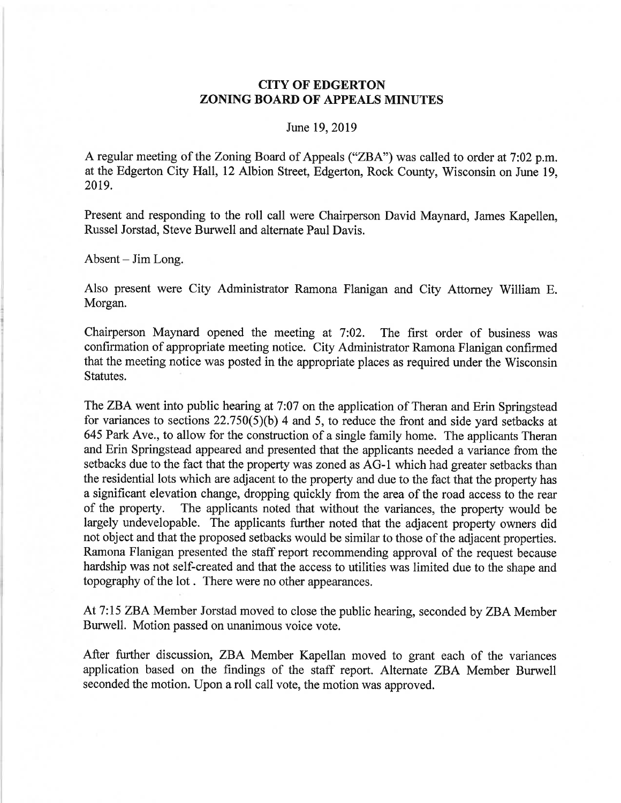## CITY OF EDGERTON ZONING BOARD OF APPEALS MINUTES

## June 19,2019

A regular meeting of the Zoning Board of Appeals ("ZBA") was called to order at 7:02 p.m. at the Edgerton City Hall, 12 Albion Street, Edgerton, Rock County, Wisconsin on June 19, 20t9.

Present and responding to the roll call were Chairperson David Maynard, James Kapellen, Russel Jorstad, Steve Burwell and alternate Paul Davis.

 $Absent - Jim Long.$ 

Also present were City Administrator Ramona Flanigan and City Attomey William E. Morgan.

Chairperson Maynard opened the meeting at 7:02. The first order of business was confirmation of appropriate meeting notice. City Administrator Ramona Flanigan confirmed that the meeting notice was posted in the appropriate places as required under the Wisconsin Statutes.

The ZBA went into public hearing at 7:07 on the application of Theran and Erin Springstead for variances to sections  $22.750(5)(b)$  4 and 5, to reduce the front and side yard setbacks at 645 Park Ave., to allow for the construction of a single family home. The applicants Theran and Erin Springstead appeared and presented that the applicants needed a variance from the setbacks due to the fact that the property was zoned as AG-l which had greater setbacks than the residential lots which are adjacent to the property and due to the fact that the property has a significant elevation change, dropping quickly from the area of the road access to the rear of the property. The applicants noted that without the variances, the property would be largely undevelopable. The applicants further noted that the adjacent property owners did not object and that the proposed setbacks would be similar to those of the adjacent properties. Ramona Flanigan presented the staff report recommending approval of the request because hardship was not self-created and that the access to utilities was limited due to the shape and topography of the lot . There were no other appearances.

At 7:15 ZBA Member Jorstad moved to close the public hearing, seconded by ZBA Member Burwell. Motion passed on unanimous voice vote.

After further discussion, ZBA Member Kapellan moved to grant each of the variances application based on the findings of the staff report. Alternate ZBA Member Burwell seconded the motion. Upon a roll call vote, the motion was approved.